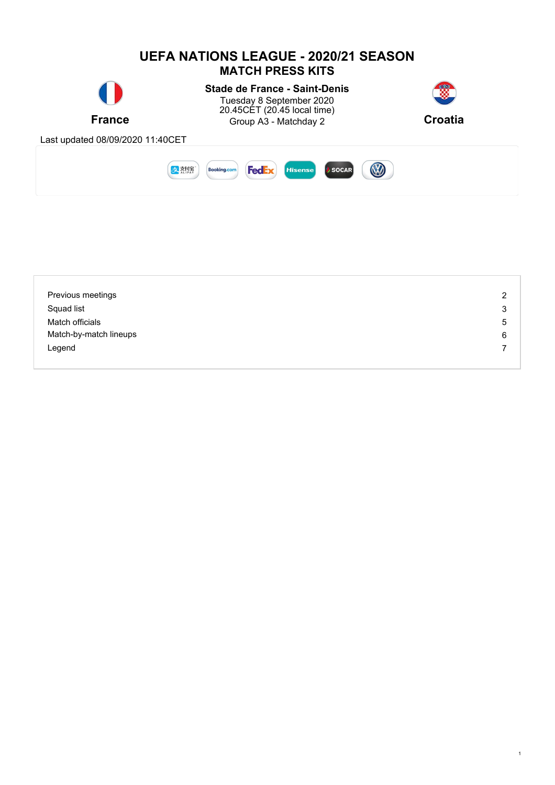

| Previous meetings      | 2 |
|------------------------|---|
| Squad list             | 3 |
| Match officials        | 5 |
| Match-by-match lineups | 6 |
| Legend                 |   |
|                        |   |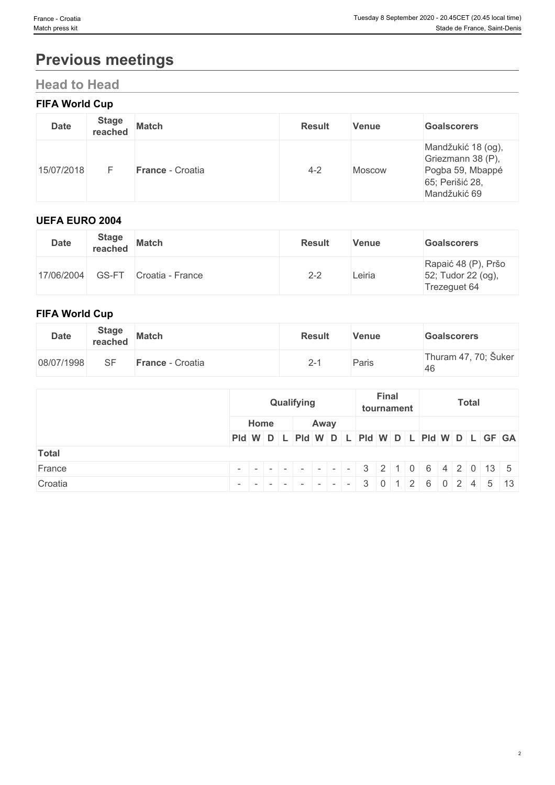# **Previous meetings**

## **Head to Head**

## **FIFA World Cup**

| <b>Date</b> | <b>Stage</b><br>reached | <b>Match</b>     | <b>Result</b> | Venue         | <b>Goalscorers</b>                                                                             |
|-------------|-------------------------|------------------|---------------|---------------|------------------------------------------------------------------------------------------------|
| 15/07/2018  |                         | France - Croatia | $4 - 2$       | <b>Moscow</b> | Mandžukić 18 (og),<br>Griezmann 38 (P),<br>Pogba 59, Mbappé<br>65; Perišić 28,<br>Mandžukić 69 |

## **UEFA EURO 2004**

| <b>Date</b> | <b>Stage</b><br>reached | <b>Match</b>     | <b>Result</b> | Venue  | <b>Goalscorers</b>                                        |
|-------------|-------------------------|------------------|---------------|--------|-----------------------------------------------------------|
| 17/06/2004  | GS-FT                   | Croatia - France | $2 - 2$       | Leiria | Rapaić 48 (P), Pršo<br>52; Tudor 22 (og),<br>Trezeguet 64 |

## **FIFA World Cup**

| <b>Date</b> | <b>Stage</b><br>reached | <b>Match</b>     | <b>Result</b> | Venue | <b>Goalscorers</b>         |
|-------------|-------------------------|------------------|---------------|-------|----------------------------|
| 08/07/1998  | SE                      | France - Croatia | ∠-            | Paris | Thuram 47, 70; Šuker<br>46 |

|              |      | <b>Final</b><br>Qualifying<br>tournament |  | <b>Total</b>                                  |  |  |
|--------------|------|------------------------------------------|--|-----------------------------------------------|--|--|
|              | Home | Away                                     |  |                                               |  |  |
|              |      |                                          |  | Pid W D L Pid W D L Pid W D L Pid W D L GF GA |  |  |
| <b>Total</b> |      |                                          |  |                                               |  |  |
| France       |      |                                          |  |                                               |  |  |
| Croatia      |      |                                          |  |                                               |  |  |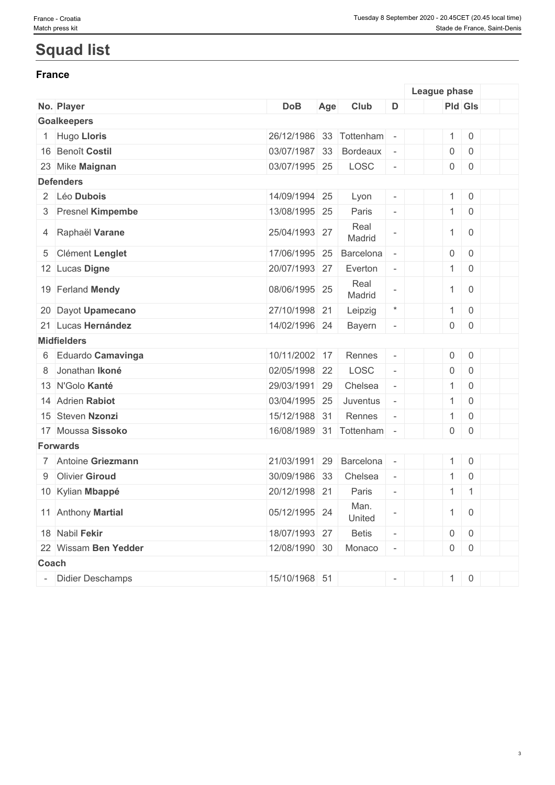# **Squad list**

### **France France** *France*

|                      |                         |     |                |                          | League phase   |                |  |
|----------------------|-------------------------|-----|----------------|--------------------------|----------------|----------------|--|
| No. Player           | <b>DoB</b>              | Age | Club           | D                        |                | Pld Gls        |  |
| <b>Goalkeepers</b>   |                         |     |                |                          |                |                |  |
| 1 Hugo Lloris        | 26/12/1986              | 33  | Tottenham      |                          | 1              | $\mathsf{O}$   |  |
| 16 Benoît Costil     | 03/07/1987              | 33  | Bordeaux       |                          | $\overline{0}$ | $\overline{0}$ |  |
| 23 Mike Maignan      | 03/07/1995 25           |     | LOSC           | $\overline{\phantom{a}}$ |                | $0 \mid 0$     |  |
| <b>Defenders</b>     |                         |     |                |                          |                |                |  |
| 2 Léo Dubois         | 14/09/1994 25           |     | Lyon           |                          | 1              | $\overline{0}$ |  |
| 3 Presnel Kimpembe   | 13/08/1995 25           |     | Paris          | $\overline{\phantom{a}}$ | 1              | $\mathsf 0$    |  |
| 4 Raphaël Varane     | 25/04/1993 27           |     | Real<br>Madrid |                          | $\mathbf{1}$   | $\overline{0}$ |  |
| 5 Clément Lenglet    | 17/06/1995 25           |     | Barcelona      |                          | 0              | $\mathsf 0$    |  |
| 12 Lucas Digne       | 20/07/1993 27           |     | Everton        | $\overline{\phantom{a}}$ | $\mathbf{1}$   | $\overline{0}$ |  |
| 19 Ferland Mendy     | 08/06/1995 25           |     | Real<br>Madrid |                          | $\mathbf{1}$   | $\overline{0}$ |  |
| 20 Dayot Upamecano   | 27/10/1998 21           |     | Leipzig        | $\star$                  | 1              | $\overline{0}$ |  |
| 21 Lucas Hernández   | 14/02/1996 24           |     | Bayern         |                          | $\overline{0}$ | $\overline{0}$ |  |
| <b>Midfielders</b>   |                         |     |                |                          |                |                |  |
| 6 Eduardo Camavinga  | 10/11/2002 17           |     | Rennes         |                          | 0              | $\overline{0}$ |  |
| 8 Jonathan Ikoné     | 02/05/1998 22           |     | LOSC           |                          | $\overline{0}$ | $\overline{0}$ |  |
| 13 N'Golo Kanté      | 29/03/1991 29           |     | Chelsea        | $\overline{\phantom{a}}$ | $\mathbf{1}$   | $\overline{0}$ |  |
| 14 Adrien Rabiot     | 03/04/1995 25           |     | Juventus       | $\overline{\phantom{a}}$ | $\mathbf{1}$   | $\mathsf 0$    |  |
| 15 Steven Nzonzi     | 15/12/1988 31           |     | Rennes         |                          | $\mathbf{1}$   | $\mathsf 0$    |  |
| 17 Moussa Sissoko    | 16/08/1989 31 Tottenham |     |                | $\overline{\phantom{a}}$ | 0              | $\overline{0}$ |  |
| <b>Forwards</b>      |                         |     |                |                          |                |                |  |
| 7 Antoine Griezmann  | 21/03/1991 29           |     | Barcelona      | $\overline{\phantom{a}}$ | 1              | $\mathsf 0$    |  |
| 9 Olivier Giroud     | 30/09/1986 33           |     | Chelsea        | $\overline{\phantom{a}}$ | 1              | $\mathsf{O}$   |  |
| 10 Kylian Mbappé     | 20/12/1998 21           |     | Paris          | $\overline{\phantom{a}}$ | $\mathbf{1}$   | $\mathbf{1}$   |  |
| 11 Anthony Martial   | 05/12/1995 24           |     | Man.<br>United |                          | 1              | $\overline{0}$ |  |
| 18 Nabil Fekir       | 18/07/1993 27           |     | <b>Betis</b>   |                          | 0              | $\overline{0}$ |  |
| 22 Wissam Ben Yedder | 12/08/1990 30           |     | Monaco         | $\overline{\phantom{a}}$ | $\overline{0}$ | $\overline{0}$ |  |
| Coach                |                         |     |                |                          |                |                |  |
| Didier Deschamps     | 15/10/1968 51           |     |                | $\overline{\phantom{a}}$ |                | $1 \ 0$        |  |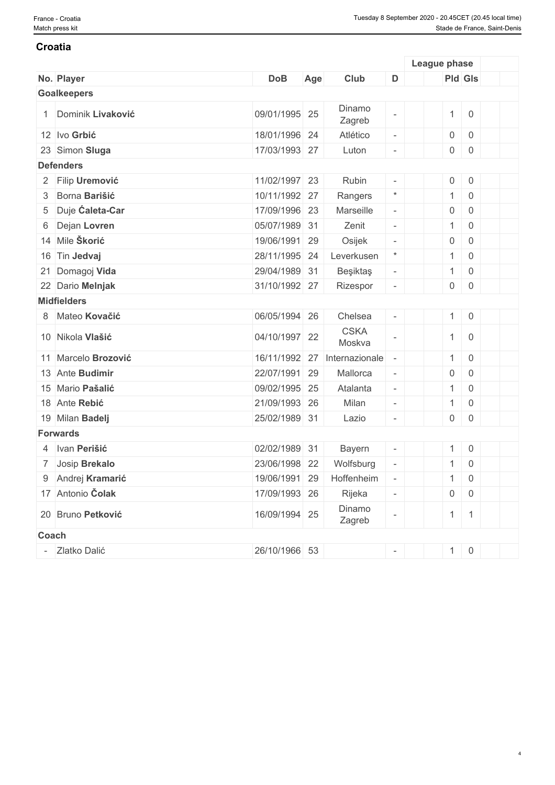#### **Croatia**

|                     |               |                          |                          | League phase   |                                           |  |
|---------------------|---------------|--------------------------|--------------------------|----------------|-------------------------------------------|--|
| No. Player          | <b>DoB</b>    | Age<br>Club              | D                        |                | <b>Pld Gls</b>                            |  |
| <b>Goalkeepers</b>  |               |                          |                          |                |                                           |  |
| 1 Dominik Livaković | 09/01/1995 25 | Dinamo<br>Zagreb         | $\sim$                   | 1              | $\overline{0}$                            |  |
| 12 Ivo Grbić        | 18/01/1996 24 | Atlético                 | $\overline{\phantom{a}}$ | $\overline{0}$ | $\begin{array}{ c c } \hline \end{array}$ |  |
| 23 Simon Sluga      | 17/03/1993 27 | Luton                    | $\overline{\phantom{a}}$ | $\overline{0}$ | $\overline{0}$                            |  |
| <b>Defenders</b>    |               |                          |                          |                |                                           |  |
| 2 Filip Uremović    | 11/02/1997 23 | Rubin                    | $\overline{\phantom{a}}$ | 0              | $\overline{0}$                            |  |
| 3 Borna Barišić     | 10/11/1992 27 | Rangers                  | $\star$                  | 1              | $\overline{0}$                            |  |
| 5 Duje Caleta-Car   | 17/09/1996 23 | Marseille                | $\overline{\phantom{a}}$ | $\overline{0}$ | $\overline{0}$                            |  |
| 6 Dejan Lovren      | 05/07/1989 31 | Zenit                    | $\overline{\phantom{a}}$ | 1              | $\overline{0}$                            |  |
| 14 Mile Škorić      | 19/06/1991 29 | Osijek                   | $\overline{\phantom{a}}$ | $\overline{0}$ | $\overline{0}$                            |  |
| 16 Tin Jedvaj       | 28/11/1995 24 | Leverkusen               | $\star$                  | 1              | $\overline{0}$                            |  |
| 21 Domagoj Vida     | 29/04/1989 31 | Beşiktaş                 | $\overline{\phantom{a}}$ | 1              | $\overline{0}$                            |  |
| 22 Dario Melnjak    | 31/10/1992 27 | Rizespor                 | $\overline{\phantom{a}}$ | $\overline{0}$ | $\overline{0}$                            |  |
| <b>Midfielders</b>  |               |                          |                          |                |                                           |  |
| 8 Mateo Kovačić     | 06/05/1994 26 | Chelsea                  | $\overline{\phantom{a}}$ |                | $1 \ 0$                                   |  |
| 10 Nikola Vlašić    | 04/10/1997 22 | <b>CSKA</b><br>Moskva    | $\overline{\phantom{a}}$ | 1              | $\overline{0}$                            |  |
| 11 Marcelo Brozović | 16/11/1992 27 | Internazionale           | $\overline{\phantom{a}}$ |                | $1 \ 0$                                   |  |
| 13 Ante Budimir     | 22/07/1991 29 | Mallorca                 | $\overline{\phantom{a}}$ | 0              | $\overline{0}$                            |  |
| 15 Mario Pašalić    | 09/02/1995 25 | Atalanta                 | $\overline{\phantom{a}}$ | 1              | $\overline{0}$                            |  |
| 18 Ante Rebić       | 21/09/1993 26 | Milan                    | $\overline{\phantom{a}}$ | 1              | $\overline{0}$                            |  |
| 19 Milan Badelj     | 25/02/1989 31 | Lazio                    | $\overline{\phantom{a}}$ | $\overline{0}$ | $\overline{0}$                            |  |
| <b>Forwards</b>     |               |                          |                          |                |                                           |  |
| 4 Ivan Perišić      | 02/02/1989 31 | Bayern                   | $\overline{\phantom{a}}$ |                | $1 \ 0$                                   |  |
| 7 Josip Brekalo     | 23/06/1998 22 | Wolfsburg                | $\overline{\phantom{a}}$ | 1              | $\overline{0}$                            |  |
| 9 Andrej Kramarić   |               | 19/06/1991 29 Hoffenheim | $\overline{\phantom{a}}$ |                | $1 \ 0$                                   |  |
| 17 Antonio Čolak    | 17/09/1993 26 | Rijeka                   | $\overline{\phantom{a}}$ |                | $0 \quad 0$                               |  |
| 20 Bruno Petković   | 16/09/1994 25 | Dinamo<br>Zagreb         | $\overline{\phantom{a}}$ |                | $1 \mid 1$                                |  |
| Coach               |               |                          |                          |                |                                           |  |
| Zlatko Dalić        | 26/10/1966 53 |                          | $\sim$ $^{-1}$           |                | $1 \ 0$                                   |  |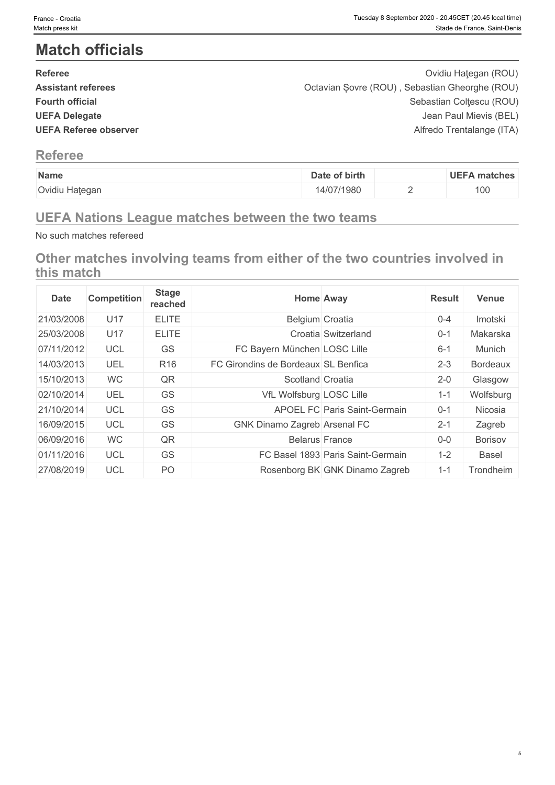# **Match officials**

| <b>Referee</b>               | Ovidiu Hategan (ROU)                           |
|------------------------------|------------------------------------------------|
| <b>Assistant referees</b>    | Octavian Sovre (ROU), Sebastian Gheorghe (ROU) |
| <b>Fourth official</b>       | Sebastian Coltescu (ROU)                       |
| <b>UEFA Delegate</b>         | Jean Paul Mievis (BEL)                         |
| <b>UEFA Referee observer</b> | Alfredo Trentalange (ITA)                      |
|                              |                                                |

## **Referee**

| Name           | Date of birth | <b>UEFA matches</b> |
|----------------|---------------|---------------------|
| Ovidiu Hategan | 14/07/1980    | 100                 |

## **UEFA Nations League matches between the two teams**

No such matches refereed

**Other matches involving teams from either of the two countries involved in this match**

| <b>Date</b> | <b>Competition</b> | <b>Stage</b><br>reached |                                     | <b>Home Away</b>                    | <b>Result</b> | <b>Venue</b>    |
|-------------|--------------------|-------------------------|-------------------------------------|-------------------------------------|---------------|-----------------|
| 21/03/2008  | U17                | <b>ELITE</b>            | Belgium Croatia                     |                                     | $0 - 4$       | Imotski         |
| 25/03/2008  | U17                | <b>ELITE</b>            |                                     | Croatia Switzerland                 | $0 - 1$       | Makarska        |
| 07/11/2012  | <b>UCL</b>         | GS                      | FC Bayern München LOSC Lille        |                                     | $6 - 1$       | Munich          |
| 14/03/2013  | UEL                | R <sub>16</sub>         | FC Girondins de Bordeaux SL Benfica |                                     | $2 - 3$       | <b>Bordeaux</b> |
| 15/10/2013  | <b>WC</b>          | QR                      | Scotland Croatia                    |                                     | $2 - 0$       | Glasgow         |
| 02/10/2014  | UEL                | GS                      | VfL Wolfsburg LOSC Lille            |                                     | $1 - 1$       | Wolfsburg       |
| 21/10/2014  | <b>UCL</b>         | GS                      |                                     | <b>APOEL FC Paris Saint-Germain</b> | $0 - 1$       | Nicosia         |
| 16/09/2015  | <b>UCL</b>         | <b>GS</b>               | GNK Dinamo Zagreb Arsenal FC        |                                     | $2 - 1$       | Zagreb          |
| 06/09/2016  | <b>WC</b>          | QR                      | <b>Belarus France</b>               |                                     | $0-0$         | Borisov         |
| 01/11/2016  | <b>UCL</b>         | GS                      |                                     | FC Basel 1893 Paris Saint-Germain   | $1 - 2$       | <b>Basel</b>    |
| 27/08/2019  | <b>UCL</b>         | PO                      |                                     | Rosenborg BK GNK Dinamo Zagreb      | $1 - 1$       | Trondheim       |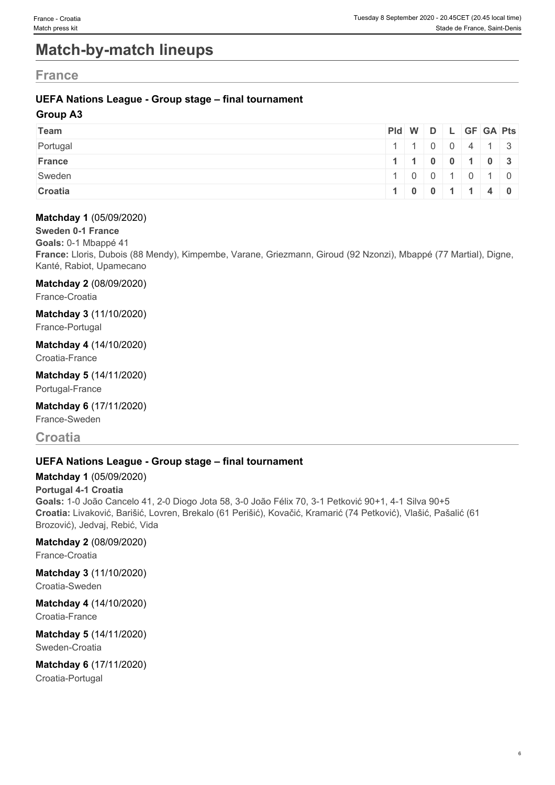# **Match-by-match lineups**

## **France France** *Contract <b>CONS CONS CONS CONS CONS CONS CONS*

### **UEFA Nations League - Group stage – final tournament**

### **Group A3**

| Team     | Pid W D L GF GA Pts |                                                    |  |  |  |
|----------|---------------------|----------------------------------------------------|--|--|--|
| Portugal |                     | 111004413                                          |  |  |  |
| France   |                     | $1 \mid 1 \mid 0 \mid 0 \mid 1 \mid 0 \mid 3 \mid$ |  |  |  |
| Sweden   |                     | 1 0 0 1 0 1 0                                      |  |  |  |
| Croatia  |                     | 1   0   0   1   1   4   0                          |  |  |  |

#### **Matchday 1** (05/09/2020)

#### **Sweden 0-1 France**

**Goals:** 0-1 Mbappé 41

**France:** Lloris, Dubois (88 Mendy), Kimpembe, Varane, Griezmann, Giroud (92 Nzonzi), Mbappé (77 Martial), Digne, Kanté, Rabiot, Upamecano

#### **Matchday 2** (08/09/2020)

France-Croatia

**Matchday 3** (11/10/2020)

France-Portugal

### **Matchday 4** (14/10/2020)

Croatia-France

**Matchday 5** (14/11/2020) Portugal-France

## **Matchday 6** (17/11/2020)

France-Sweden

## **Croatia**

### **UEFA Nations League - Group stage – final tournament**

### **Matchday 1** (05/09/2020)

#### **Portugal 4-1 Croatia**

**Goals:** 1-0 João Cancelo 41, 2-0 Diogo Jota 58, 3-0 João Félix 70, 3-1 Petković 90+1, 4-1 Silva 90+5 **Croatia:** Livaković, Barišić, Lovren, Brekalo (61 Perišić), Kovačić, Kramarić (74 Petković), Vlašić, Pašalić (61 Brozović), Jedvaj, Rebić, Vida

#### **Matchday 2** (08/09/2020)

France-Croatia

## **Matchday 3** (11/10/2020)

Croatia-Sweden

#### **Matchday 4** (14/10/2020) Croatia-France

#### **Matchday 5** (14/11/2020) Sweden-Croatia

**Matchday 6** (17/11/2020)

Croatia-Portugal